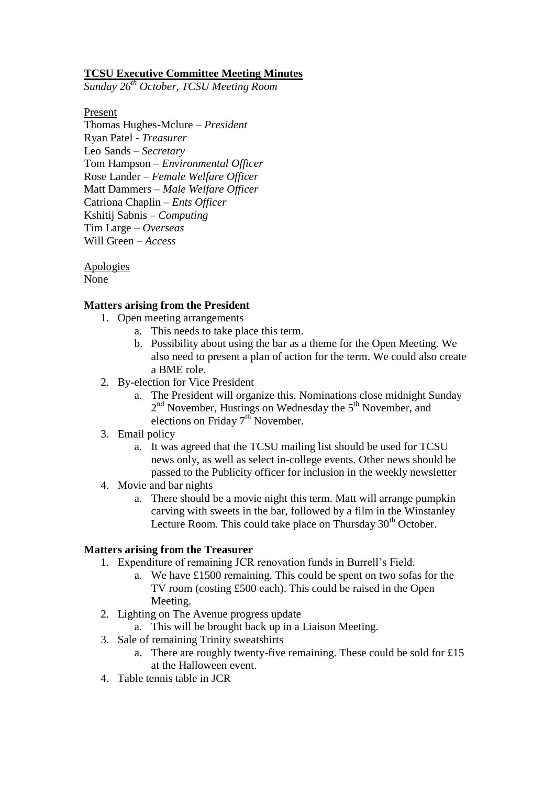## **TCSU Executive Committee Meeting Minutes**

*Sunday 26th October, TCSU Meeting Room*

Present

Thomas Hughes-Mclure – *President* Ryan Patel - *Treasurer* Leo Sands – *Secretary* Tom Hampson – *Environmental Officer* Rose Lander – *Female Welfare Officer* Matt Dammers – *Male Welfare Officer* Catriona Chaplin – *Ents Officer* Kshitij Sabnis – *Computing* Tim Large – *Overseas* Will Green – *Access*

Apologies None

#### **Matters arising from the President**

- 1. Open meeting arrangements
	- a. This needs to take place this term.
	- b. Possibility about using the bar as a theme for the Open Meeting. We also need to present a plan of action for the term. We could also create a BME role.
- 2. By-election for Vice President
	- a. The President will organize this. Nominations close midnight Sunday 2<sup>nd</sup> November, Hustings on Wednesday the 5<sup>th</sup> November, and elections on Friday  $7<sup>th</sup>$  November.
- 3. Email policy
	- a. It was agreed that the TCSU mailing list should be used for TCSU news only, as well as select in-college events. Other news should be passed to the Publicity officer for inclusion in the weekly newsletter
- 4. Movie and bar nights
	- a. There should be a movie night this term. Matt will arrange pumpkin carving with sweets in the bar, followed by a film in the Winstanley Lecture Room. This could take place on Thursday  $30<sup>th</sup>$  October.

#### **Matters arising from the Treasurer**

- 1. Expenditure of remaining JCR renovation funds in Burrell's Field.
	- a. We have £1500 remaining. This could be spent on two sofas for the TV room (costing £500 each). This could be raised in the Open Meeting.
- 2. Lighting on The Avenue progress update
	- a. This will be brought back up in a Liaison Meeting.
- 3. Sale of remaining Trinity sweatshirts
	- a. There are roughly twenty-five remaining. These could be sold for £15 at the Halloween event.
- 4. Table tennis table in JCR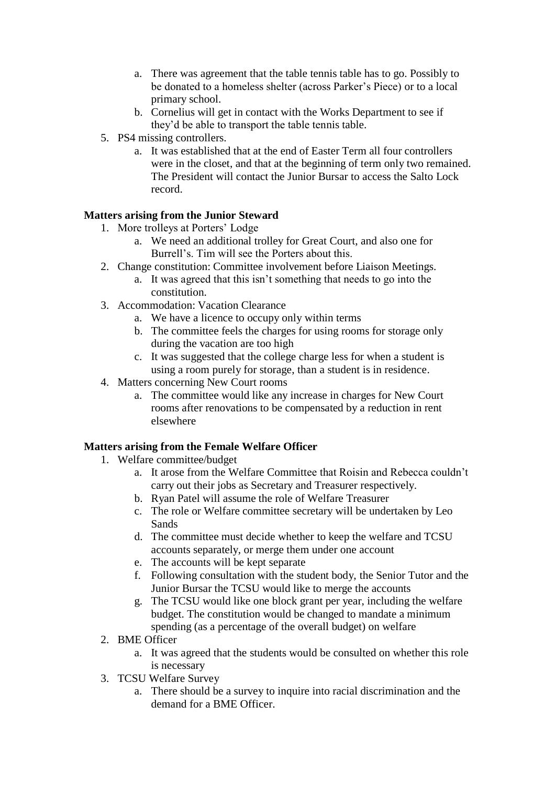- a. There was agreement that the table tennis table has to go. Possibly to be donated to a homeless shelter (across Parker's Piece) or to a local primary school.
- b. Cornelius will get in contact with the Works Department to see if they'd be able to transport the table tennis table.
- 5. PS4 missing controllers.
	- a. It was established that at the end of Easter Term all four controllers were in the closet, and that at the beginning of term only two remained. The President will contact the Junior Bursar to access the Salto Lock record.

# **Matters arising from the Junior Steward**

- 1. More trolleys at Porters' Lodge
	- a. We need an additional trolley for Great Court, and also one for Burrell's. Tim will see the Porters about this.
- 2. Change constitution: Committee involvement before Liaison Meetings.
	- a. It was agreed that this isn't something that needs to go into the constitution.
- 3. Accommodation: Vacation Clearance
	- a. We have a licence to occupy only within terms
	- b. The committee feels the charges for using rooms for storage only during the vacation are too high
	- c. It was suggested that the college charge less for when a student is using a room purely for storage, than a student is in residence.
- 4. Matters concerning New Court rooms
	- a. The committee would like any increase in charges for New Court rooms after renovations to be compensated by a reduction in rent elsewhere

## **Matters arising from the Female Welfare Officer**

- 1. Welfare committee/budget
	- a. It arose from the Welfare Committee that Roisin and Rebecca couldn't carry out their jobs as Secretary and Treasurer respectively.
	- b. Ryan Patel will assume the role of Welfare Treasurer
	- c. The role or Welfare committee secretary will be undertaken by Leo Sands
	- d. The committee must decide whether to keep the welfare and TCSU accounts separately, or merge them under one account
	- e. The accounts will be kept separate
	- f. Following consultation with the student body, the Senior Tutor and the Junior Bursar the TCSU would like to merge the accounts
	- g. The TCSU would like one block grant per year, including the welfare budget. The constitution would be changed to mandate a minimum spending (as a percentage of the overall budget) on welfare
- 2. BME Officer
	- a. It was agreed that the students would be consulted on whether this role is necessary
- 3. TCSU Welfare Survey
	- a. There should be a survey to inquire into racial discrimination and the demand for a BME Officer.